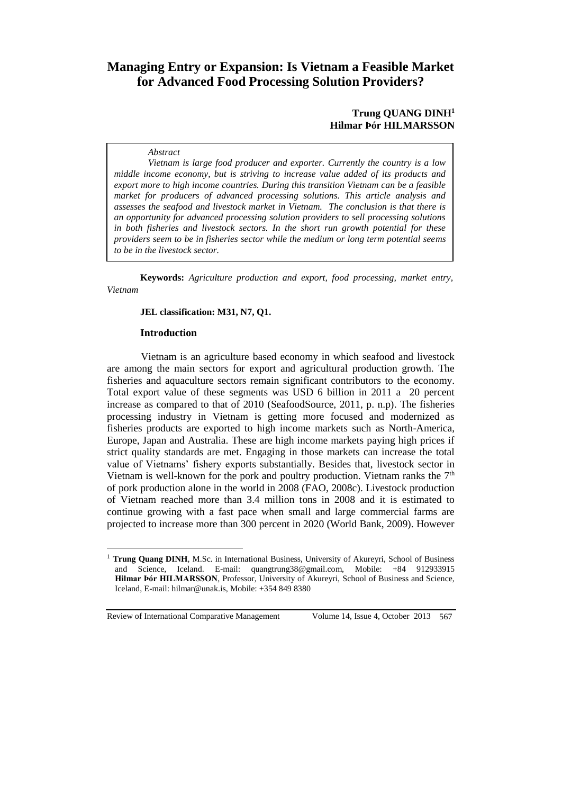# **Managing Entry or Expansion: Is Vietnam a Feasible Market for Advanced Food Processing Solution Providers?**

# **Trung QUANG DINH<sup>1</sup> Hilmar Þór HILMARSSON**

### *Abstract*

*Vietnam is large food producer and exporter. Currently the country is a low middle income economy, but is striving to increase value added of its products and export more to high income countries. During this transition Vietnam can be a feasible market for producers of advanced processing solutions. This article analysis and assesses the seafood and livestock market in Vietnam. The conclusion is that there is an opportunity for advanced processing solution providers to sell processing solutions in both fisheries and livestock sectors. In the short run growth potential for these providers seem to be in fisheries sector while the medium or long term potential seems to be in the livestock sector.* 

**Keywords:** *Agriculture production and export, food processing, market entry, Vietnam*

### **JEL classification: M31, N7, Q1.**

#### **Introduction**

Vietnam is an agriculture based economy in which seafood and livestock are among the main sectors for export and agricultural production growth. The fisheries and aquaculture sectors remain significant contributors to the economy. Total export value of these segments was USD 6 billion in 2011 a 20 percent increase as compared to that of 2010 (SeafoodSource, 2011, p. n.p). The fisheries processing industry in Vietnam is getting more focused and modernized as fisheries products are exported to high income markets such as North-America, Europe, Japan and Australia. These are high income markets paying high prices if strict quality standards are met. Engaging in those markets can increase the total value of Vietnams' fishery exports substantially. Besides that, livestock sector in Vietnam is well-known for the pork and poultry production. Vietnam ranks the  $7<sup>th</sup>$ of pork production alone in the world in 2008 (FAO, 2008c). Livestock production of Vietnam reached more than 3.4 million tons in 2008 and it is estimated to continue growing with a fast pace when small and large commercial farms are projected to increase more than 300 percent in 2020 (World Bank, 2009). However

<sup>1</sup> **Trung Quang DINH**, M.Sc. in International Business, University of Akureyri, School of Business and Science, Iceland. E-mail: quangtrung38@gmail.com, Mobile: +84 912933915 **Hilmar Þór HILMARSSON**, Professor, University of Akureyri, School of Business and Science, Iceland, E-mail: hilmar@unak.is, Mobile: +354 849 8380

Review of International Comparative Management Volume 14, Issue 4, October 2013 567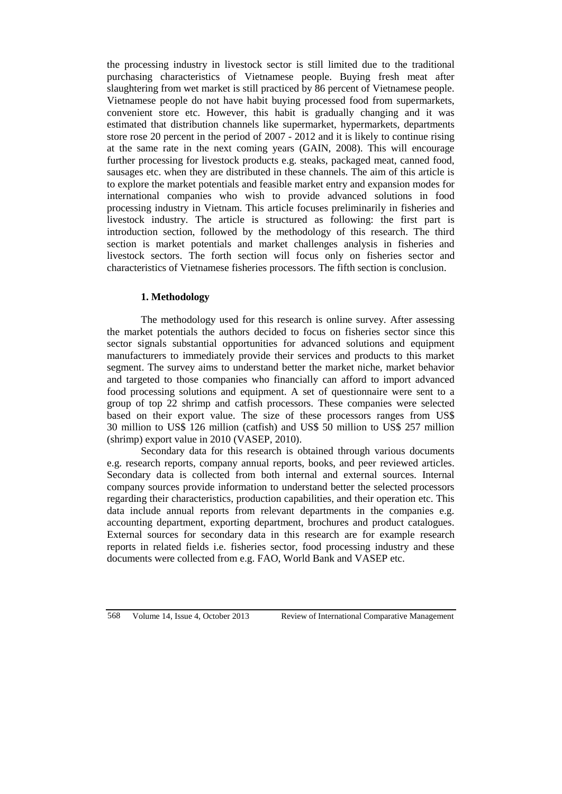the processing industry in livestock sector is still limited due to the traditional purchasing characteristics of Vietnamese people. Buying fresh meat after slaughtering from wet market is still practiced by 86 percent of Vietnamese people. Vietnamese people do not have habit buying processed food from supermarkets, convenient store etc. However, this habit is gradually changing and it was estimated that distribution channels like supermarket, hypermarkets, departments store rose 20 percent in the period of 2007 - 2012 and it is likely to continue rising at the same rate in the next coming years (GAIN, 2008). This will encourage further processing for livestock products e.g. steaks, packaged meat, canned food, sausages etc. when they are distributed in these channels. The aim of this article is to explore the market potentials and feasible market entry and expansion modes for international companies who wish to provide advanced solutions in food processing industry in Vietnam. This article focuses preliminarily in fisheries and livestock industry. The article is structured as following: the first part is introduction section, followed by the methodology of this research. The third section is market potentials and market challenges analysis in fisheries and livestock sectors. The forth section will focus only on fisheries sector and characteristics of Vietnamese fisheries processors. The fifth section is conclusion.

# **1. Methodology**

The methodology used for this research is online survey. After assessing the market potentials the authors decided to focus on fisheries sector since this sector signals substantial opportunities for advanced solutions and equipment manufacturers to immediately provide their services and products to this market segment. The survey aims to understand better the market niche, market behavior and targeted to those companies who financially can afford to import advanced food processing solutions and equipment. A set of questionnaire were sent to a group of top 22 shrimp and catfish processors. These companies were selected based on their export value. The size of these processors ranges from US\$ 30 million to US\$ 126 million (catfish) and US\$ 50 million to US\$ 257 million (shrimp) export value in 2010 (VASEP, 2010).

Secondary data for this research is obtained through various documents e.g. research reports, company annual reports, books, and peer reviewed articles. Secondary data is collected from both internal and external sources. Internal company sources provide information to understand better the selected processors regarding their characteristics, production capabilities, and their operation etc. This data include annual reports from relevant departments in the companies e.g. accounting department, exporting department, brochures and product catalogues. External sources for secondary data in this research are for example research reports in related fields i.e. fisheries sector, food processing industry and these documents were collected from e.g. FAO, World Bank and VASEP etc.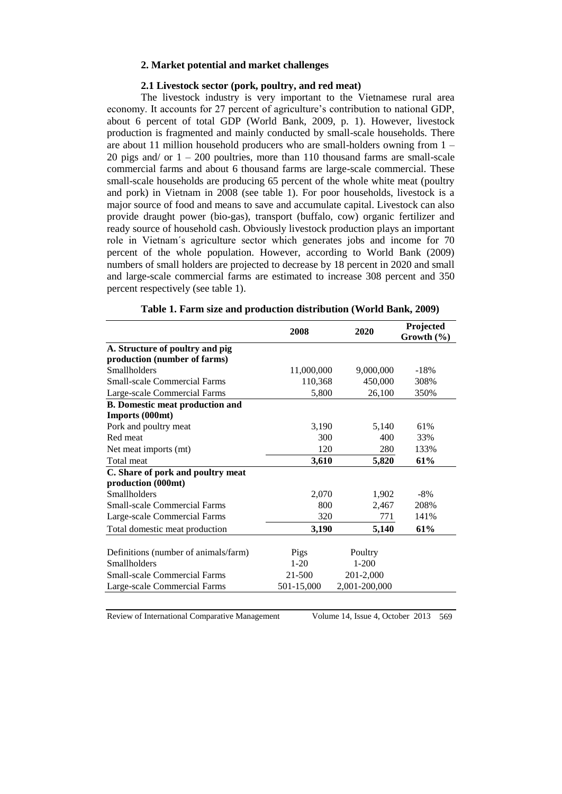#### **2. Market potential and market challenges**

#### **2.1 Livestock sector (pork, poultry, and red meat)**

The livestock industry is very important to the Vietnamese rural area economy. It accounts for 27 percent of agriculture's contribution to national GDP, about 6 percent of total GDP (World Bank, 2009, p. 1). However, livestock production is fragmented and mainly conducted by small-scale households. There are about 11 million household producers who are small-holders owning from 1 – 20 pigs and/ or  $1 - 200$  poultries, more than 110 thousand farms are small-scale commercial farms and about 6 thousand farms are large-scale commercial. These small-scale households are producing 65 percent of the whole white meat (poultry and pork) in Vietnam in 2008 (see table 1). For poor households, livestock is a major source of food and means to save and accumulate capital. Livestock can also provide draught power (bio-gas), transport (buffalo, cow) organic fertilizer and ready source of household cash. Obviously livestock production plays an important role in Vietnam´s agriculture sector which generates jobs and income for 70 percent of the whole population. However, according to World Bank (2009) numbers of small holders are projected to decrease by 18 percent in 2020 and small and large-scale commercial farms are estimated to increase 308 percent and 350 percent respectively (see table 1).

|                                                                                                    | 2008                     | 2020                              | Projected<br>Growth $(\% )$ |
|----------------------------------------------------------------------------------------------------|--------------------------|-----------------------------------|-----------------------------|
| A. Structure of poultry and pig                                                                    |                          |                                   |                             |
| production (number of farms)                                                                       |                          |                                   |                             |
| <b>Smallholders</b>                                                                                | 11,000,000               | 9,000,000                         | $-18%$                      |
| <b>Small-scale Commercial Farms</b>                                                                | 110,368                  | 450,000                           | 308%                        |
| Large-scale Commercial Farms                                                                       | 5,800                    | 26,100                            | 350%                        |
| <b>B.</b> Domestic meat production and                                                             |                          |                                   |                             |
| Imports (000mt)                                                                                    |                          |                                   |                             |
| Pork and poultry meat                                                                              | 3,190                    | 5,140                             | 61%                         |
| Red meat                                                                                           | 300                      | 400                               | 33%                         |
| Net meat imports (mt)                                                                              | 120                      | 280                               | 133%                        |
| Total meat                                                                                         | 3,610                    | 5,820                             | 61%                         |
| C. Share of pork and poultry meat                                                                  |                          |                                   |                             |
| production (000mt)                                                                                 |                          |                                   |                             |
| <b>Smallholders</b>                                                                                | 2,070                    | 1,902                             | $-8\%$                      |
| <b>Small-scale Commercial Farms</b>                                                                | 800                      | 2,467                             | 208%                        |
| Large-scale Commercial Farms                                                                       | 320                      | 771                               | 141%                        |
| Total domestic meat production                                                                     | 3,190                    | 5,140                             | 61%                         |
| Definitions (number of animals/farm)<br><b>Smallholders</b><br><b>Small-scale Commercial Farms</b> | Pigs<br>$1-20$<br>21-500 | Poultry<br>$1 - 200$<br>201-2,000 |                             |
| Large-scale Commercial Farms                                                                       | 501-15,000               | 2,001-200,000                     |                             |

|  |  | Table 1. Farm size and production distribution (World Bank, 2009) |  |  |
|--|--|-------------------------------------------------------------------|--|--|
|  |  |                                                                   |  |  |

Review of International Comparative Management Volume 14, Issue 4, October 2013 569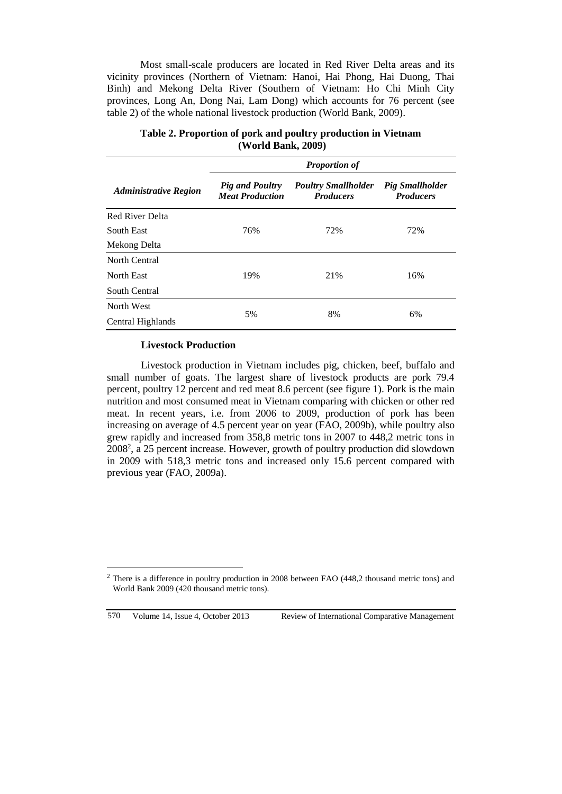Most small-scale producers are located in Red River Delta areas and its vicinity provinces (Northern of Vietnam: Hanoi, Hai Phong, Hai Duong, Thai Binh) and Mekong Delta River (Southern of Vietnam: Ho Chi Minh City provinces, Long An, Dong Nai, Lam Dong) which accounts for 76 percent (see table 2) of the whole national livestock production (World Bank, 2009).

|                              | <b>Proportion of</b>                             |                                                |                                            |  |  |
|------------------------------|--------------------------------------------------|------------------------------------------------|--------------------------------------------|--|--|
| <b>Administrative Region</b> | <b>Pig and Poultry</b><br><b>Meat Production</b> | <b>Poultry Smallholder</b><br><b>Producers</b> | <b>Pig Smallholder</b><br><b>Producers</b> |  |  |
| <b>Red River Delta</b>       |                                                  |                                                |                                            |  |  |
| South East                   | 76%                                              | 72%                                            | 72%                                        |  |  |
| Mekong Delta                 |                                                  |                                                |                                            |  |  |
| North Central                |                                                  |                                                |                                            |  |  |
| North East                   | 19%                                              | 21%                                            | 16%                                        |  |  |
| South Central                |                                                  |                                                |                                            |  |  |
| North West                   |                                                  |                                                | 6%                                         |  |  |
| Central Highlands            | 5%                                               | 8%                                             |                                            |  |  |

**Table 2. Proportion of pork and poultry production in Vietnam (World Bank, 2009)**

### **Livestock Production**

Livestock production in Vietnam includes pig, chicken, beef, buffalo and small number of goats. The largest share of livestock products are pork 79.4 percent, poultry 12 percent and red meat 8.6 percent (see figure 1). Pork is the main nutrition and most consumed meat in Vietnam comparing with chicken or other red meat. In recent years, i.e. from 2006 to 2009, production of pork has been increasing on average of 4.5 percent year on year (FAO, 2009b), while poultry also grew rapidly and increased from 358,8 metric tons in 2007 to 448,2 metric tons in 2008<sup>2</sup> , a 25 percent increase. However, growth of poultry production did slowdown in 2009 with 518,3 metric tons and increased only 15.6 percent compared with previous year (FAO, 2009a).

 $\overline{a}$ 

<sup>&</sup>lt;sup>2</sup> There is a difference in poultry production in 2008 between FAO (448,2 thousand metric tons) and World Bank 2009 (420 thousand metric tons).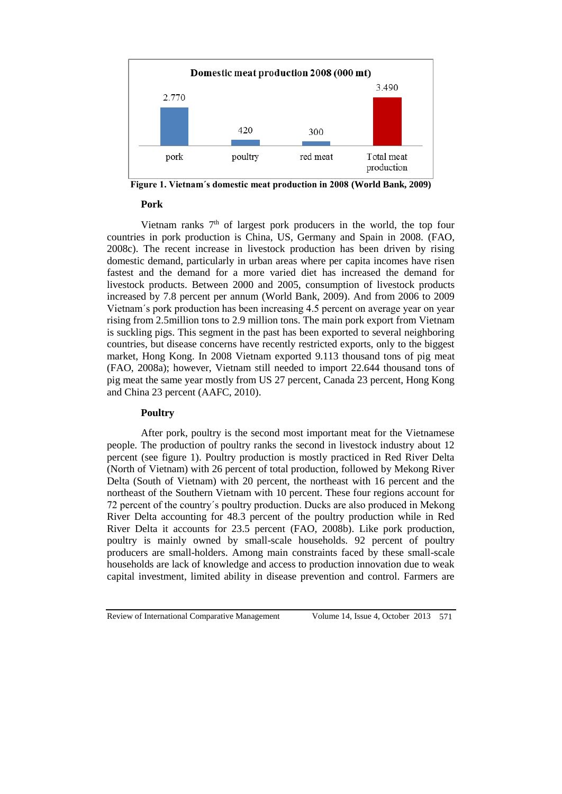

**Figure 1. Vietnam´s domestic meat production in 2008 (World Bank, 2009)**

### **Pork**

Vietnam ranks  $7<sup>th</sup>$  of largest pork producers in the world, the top four countries in pork production is China, US, Germany and Spain in 2008. (FAO, 2008c). The recent increase in livestock production has been driven by rising domestic demand, particularly in urban areas where per capita incomes have risen fastest and the demand for a more varied diet has increased the demand for livestock products. Between 2000 and 2005, consumption of livestock products increased by 7.8 percent per annum (World Bank, 2009). And from 2006 to 2009 Vietnam´s pork production has been increasing 4.5 percent on average year on year rising from 2.5million tons to 2.9 million tons. The main pork export from Vietnam is suckling pigs. This segment in the past has been exported to several neighboring countries, but disease concerns have recently restricted exports, only to the biggest market, Hong Kong. In 2008 Vietnam exported 9.113 thousand tons of pig meat (FAO, 2008a); however, Vietnam still needed to import 22.644 thousand tons of pig meat the same year mostly from US 27 percent, Canada 23 percent, Hong Kong and China 23 percent (AAFC, 2010).

### **Poultry**

After pork, poultry is the second most important meat for the Vietnamese people. The production of poultry ranks the second in livestock industry about 12 percent (see figure 1). Poultry production is mostly practiced in Red River Delta (North of Vietnam) with 26 percent of total production, followed by Mekong River Delta (South of Vietnam) with 20 percent, the northeast with 16 percent and the northeast of the Southern Vietnam with 10 percent. These four regions account for 72 percent of the country´s poultry production. Ducks are also produced in Mekong River Delta accounting for 48.3 percent of the poultry production while in Red River Delta it accounts for 23.5 percent (FAO, 2008b). Like pork production, poultry is mainly owned by small-scale households. 92 percent of poultry producers are small-holders. Among main constraints faced by these small-scale households are lack of knowledge and access to production innovation due to weak capital investment, limited ability in disease prevention and control. Farmers are

Review of International Comparative Management Volume 14, Issue 4, October 2013 571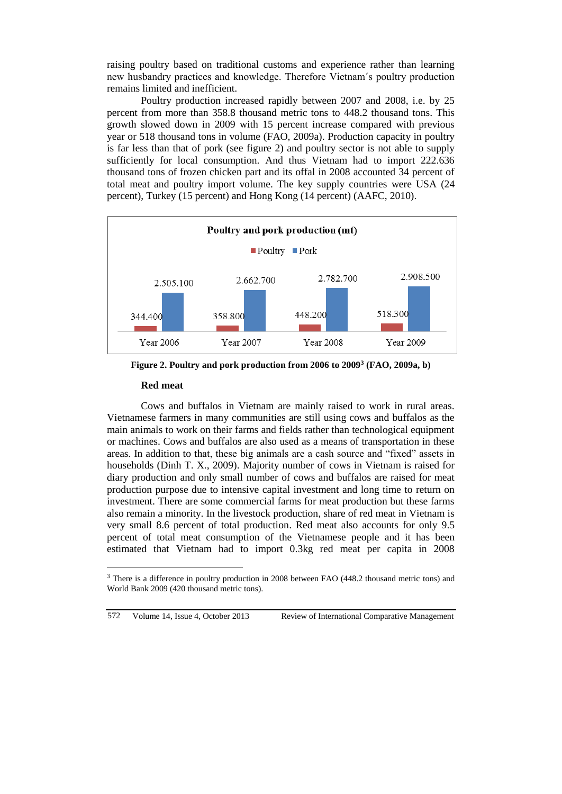raising poultry based on traditional customs and experience rather than learning new husbandry practices and knowledge. Therefore Vietnam´s poultry production remains limited and inefficient.

Poultry production increased rapidly between 2007 and 2008, i.e. by 25 percent from more than 358.8 thousand metric tons to 448.2 thousand tons. This growth slowed down in 2009 with 15 percent increase compared with previous year or 518 thousand tons in volume (FAO, 2009a). Production capacity in poultry is far less than that of pork (see figure 2) and poultry sector is not able to supply sufficiently for local consumption. And thus Vietnam had to import 222.636 thousand tons of frozen chicken part and its offal in 2008 accounted 34 percent of total meat and poultry import volume. The key supply countries were USA (24 percent), Turkey (15 percent) and Hong Kong (14 percent) (AAFC, 2010).



**Figure 2. Poultry and pork production from 2006 to 2009<sup>3</sup> (FAO, 2009a, b)**

### **Red meat**

Cows and buffalos in Vietnam are mainly raised to work in rural areas. Vietnamese farmers in many communities are still using cows and buffalos as the main animals to work on their farms and fields rather than technological equipment or machines. Cows and buffalos are also used as a means of transportation in these areas. In addition to that, these big animals are a cash source and "fixed" assets in households (Dinh T. X., 2009). Majority number of cows in Vietnam is raised for diary production and only small number of cows and buffalos are raised for meat production purpose due to intensive capital investment and long time to return on investment. There are some commercial farms for meat production but these farms also remain a minority. In the livestock production, share of red meat in Vietnam is very small 8.6 percent of total production. Red meat also accounts for only 9.5 percent of total meat consumption of the Vietnamese people and it has been estimated that Vietnam had to import 0.3kg red meat per capita in 2008

```
572 Volume 14, Issue 4, October 2013 Review of International Comparative Management
```
<sup>&</sup>lt;sup>3</sup> There is a difference in poultry production in 2008 between FAO (448.2 thousand metric tons) and World Bank 2009 (420 thousand metric tons).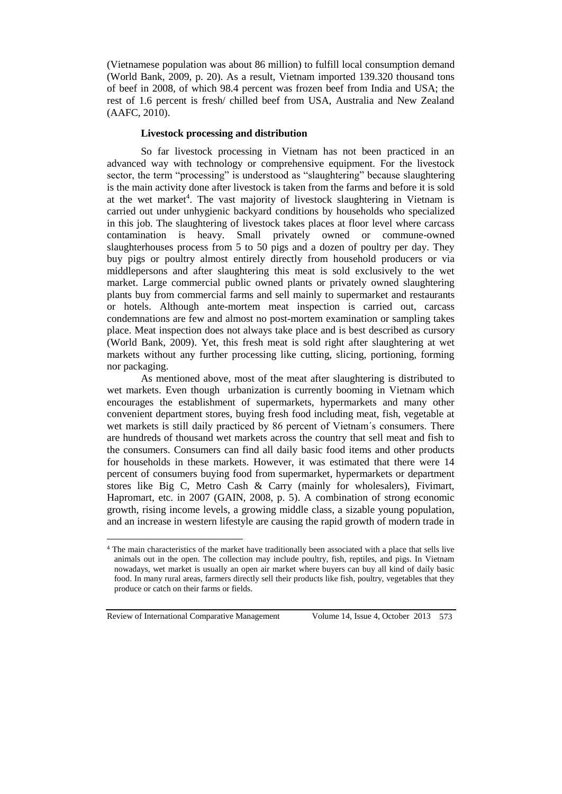(Vietnamese population was about 86 million) to fulfill local consumption demand (World Bank, 2009, p. 20). As a result, Vietnam imported 139.320 thousand tons of beef in 2008, of which 98.4 percent was frozen beef from India and USA; the rest of 1.6 percent is fresh/ chilled beef from USA, Australia and New Zealand (AAFC, 2010).

### **Livestock processing and distribution**

So far livestock processing in Vietnam has not been practiced in an advanced way with technology or comprehensive equipment. For the livestock sector, the term "processing" is understood as "slaughtering" because slaughtering is the main activity done after livestock is taken from the farms and before it is sold at the wet market<sup>4</sup>. The vast majority of livestock slaughtering in Vietnam is carried out under unhygienic backyard conditions by households who specialized in this job. The slaughtering of livestock takes places at floor level where carcass contamination is heavy. Small privately owned or commune-owned slaughterhouses process from 5 to 50 pigs and a dozen of poultry per day. They buy pigs or poultry almost entirely directly from household producers or via middlepersons and after slaughtering this meat is sold exclusively to the wet market. Large commercial public owned plants or privately owned slaughtering plants buy from commercial farms and sell mainly to supermarket and restaurants or hotels. Although ante-mortem meat inspection is carried out, carcass condemnations are few and almost no post-mortem examination or sampling takes place. Meat inspection does not always take place and is best described as cursory (World Bank, 2009). Yet, this fresh meat is sold right after slaughtering at wet markets without any further processing like cutting, slicing, portioning, forming nor packaging.

As mentioned above, most of the meat after slaughtering is distributed to wet markets. Even though urbanization is currently booming in Vietnam which encourages the establishment of supermarkets, hypermarkets and many other convenient department stores, buying fresh food including meat, fish, vegetable at wet markets is still daily practiced by 86 percent of Vietnam´s consumers. There are hundreds of thousand wet markets across the country that sell meat and fish to the consumers. Consumers can find all daily basic food items and other products for households in these markets. However, it was estimated that there were 14 percent of consumers buying food from supermarket, hypermarkets or department stores like Big C, Metro Cash & Carry (mainly for wholesalers), Fivimart, Hapromart, etc. in 2007 (GAIN, 2008, p. 5). A combination of strong economic growth, rising income levels, a growing middle class, a sizable young population, and an increase in western lifestyle are causing the rapid growth of modern trade in

<sup>4</sup> The main characteristics of the market have traditionally been associated with a place that sells live animals out in the open. The collection may include poultry, fish, reptiles, and pigs. In Vietnam nowadays, wet market is usually an open air market where buyers can buy all kind of daily basic food. In many rural areas, farmers directly sell their products like fish, poultry, vegetables that they produce or catch on their farms or fields.

Review of International Comparative Management Volume 14, Issue 4, October 2013 573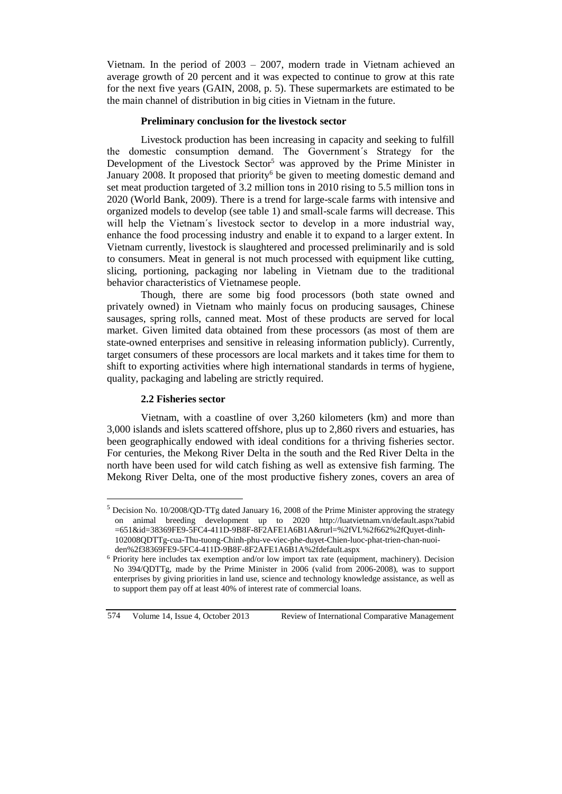Vietnam. In the period of 2003 – 2007, modern trade in Vietnam achieved an average growth of 20 percent and it was expected to continue to grow at this rate for the next five years (GAIN, 2008, p. 5). These supermarkets are estimated to be the main channel of distribution in big cities in Vietnam in the future.

### **Preliminary conclusion for the livestock sector**

Livestock production has been increasing in capacity and seeking to fulfill the domestic consumption demand. The Government´s Strategy for the Development of the Livestock Sector<sup>5</sup> was approved by the Prime Minister in January 2008. It proposed that priority<sup>6</sup> be given to meeting domestic demand and set meat production targeted of 3.2 million tons in 2010 rising to 5.5 million tons in 2020 (World Bank, 2009). There is a trend for large-scale farms with intensive and organized models to develop (see table 1) and small-scale farms will decrease. This will help the Vietnam´s livestock sector to develop in a more industrial way, enhance the food processing industry and enable it to expand to a larger extent. In Vietnam currently, livestock is slaughtered and processed preliminarily and is sold to consumers. Meat in general is not much processed with equipment like cutting, slicing, portioning, packaging nor labeling in Vietnam due to the traditional behavior characteristics of Vietnamese people.

Though, there are some big food processors (both state owned and privately owned) in Vietnam who mainly focus on producing sausages, Chinese sausages, spring rolls, canned meat. Most of these products are served for local market. Given limited data obtained from these processors (as most of them are state-owned enterprises and sensitive in releasing information publicly). Currently, target consumers of these processors are local markets and it takes time for them to shift to exporting activities where high international standards in terms of hygiene, quality, packaging and labeling are strictly required.

# **2.2 Fisheries sector**

Vietnam, with a coastline of over 3,260 kilometers (km) and more than 3,000 islands and islets scattered offshore, plus up to 2,860 rivers and estuaries, has been geographically endowed with ideal conditions for a thriving fisheries sector. For centuries, the Mekong River Delta in the south and the Red River Delta in the north have been used for wild catch fishing as well as extensive fish farming. The Mekong River Delta, one of the most productive fishery zones, covers an area of

 $\overline{a}$ 

<sup>5</sup> Decision No. 10/2008/QD-TTg dated January 16, 2008 of the Prime Minister approving the strategy on animal breeding development up to 2020 http://luatvietnam.vn/default.aspx?tabid =651&id=38369FE9-5FC4-411D-9B8F-8F2AFE1A6B1A&rurl=%2fVL%2f662%2fQuyet-dinh-102008QDTTg-cua-Thu-tuong-Chinh-phu-ve-viec-phe-duyet-Chien-luoc-phat-trien-chan-nuoiden%2f38369FE9-5FC4-411D-9B8F-8F2AFE1A6B1A%2fdefault.aspx

<sup>6</sup> Priority here includes tax exemption and/or low import tax rate (equipment, machinery). Decision No 394/QDTTg, made by the Prime Minister in 2006 (valid from 2006-2008), was to support enterprises by giving priorities in land use, science and technology knowledge assistance, as well as to support them pay off at least 40% of interest rate of commercial loans.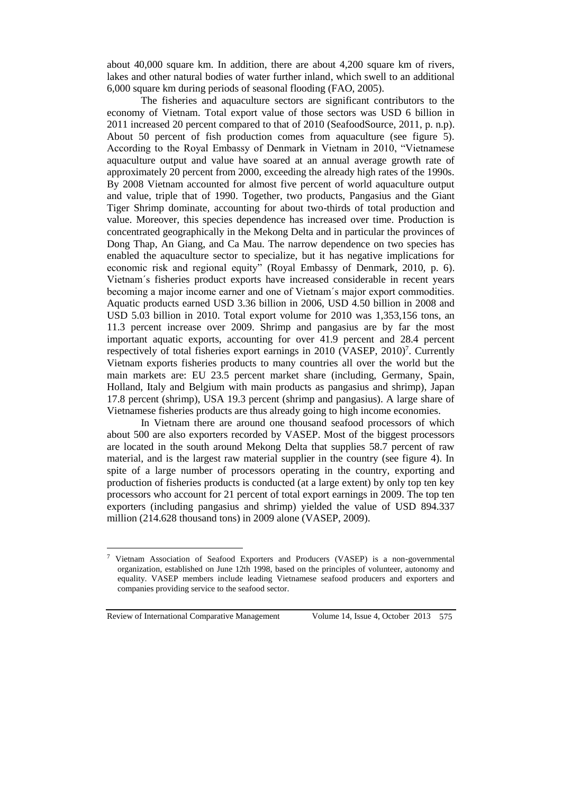about 40,000 square km. In addition, there are about 4,200 square km of rivers, lakes and other natural bodies of water further inland, which swell to an additional 6,000 square km during periods of seasonal flooding (FAO, 2005).

The fisheries and aquaculture sectors are significant contributors to the economy of Vietnam. Total export value of those sectors was USD 6 billion in 2011 increased 20 percent compared to that of 2010 (SeafoodSource, 2011, p. n.p). About 50 percent of fish production comes from aquaculture (see figure 5). According to the Royal Embassy of Denmark in Vietnam in 2010, "Vietnamese aquaculture output and value have soared at an annual average growth rate of approximately 20 percent from 2000, exceeding the already high rates of the 1990s. By 2008 Vietnam accounted for almost five percent of world aquaculture output and value, triple that of 1990. Together, two products, Pangasius and the Giant Tiger Shrimp dominate, accounting for about two-thirds of total production and value. Moreover, this species dependence has increased over time. Production is concentrated geographically in the Mekong Delta and in particular the provinces of Dong Thap, An Giang, and Ca Mau. The narrow dependence on two species has enabled the aquaculture sector to specialize, but it has negative implications for economic risk and regional equity" (Royal Embassy of Denmark, 2010, p. 6). Vietnam´s fisheries product exports have increased considerable in recent years becoming a major income earner and one of Vietnam´s major export commodities. Aquatic products earned USD 3.36 billion in 2006, USD 4.50 billion in 2008 and USD 5.03 billion in 2010. Total export volume for 2010 was 1,353,156 tons, an 11.3 percent increase over 2009. Shrimp and pangasius are by far the most important aquatic exports, accounting for over 41.9 percent and 28.4 percent respectively of total fisheries export earnings in 2010 (VASEP, 2010)<sup>7</sup>. Currently Vietnam exports fisheries products to many countries all over the world but the main markets are: EU 23.5 percent market share (including, Germany, Spain, Holland, Italy and Belgium with main products as pangasius and shrimp), Japan 17.8 percent (shrimp), USA 19.3 percent (shrimp and pangasius). A large share of Vietnamese fisheries products are thus already going to high income economies.

In Vietnam there are around one thousand seafood processors of which about 500 are also exporters recorded by VASEP. Most of the biggest processors are located in the south around Mekong Delta that supplies 58.7 percent of raw material, and is the largest raw material supplier in the country (see figure 4). In spite of a large number of processors operating in the country, exporting and production of fisheries products is conducted (at a large extent) by only top ten key processors who account for 21 percent of total export earnings in 2009. The top ten exporters (including pangasius and shrimp) yielded the value of USD 894.337 million (214.628 thousand tons) in 2009 alone (VASEP, 2009).

<sup>7</sup> Vietnam Association of Seafood Exporters and Producers (VASEP) is a non-governmental organization, established on June 12th 1998, based on the principles of volunteer, autonomy and equality. VASEP members include leading Vietnamese seafood producers and exporters and companies providing service to the seafood sector.

Review of International Comparative Management Volume 14, Issue 4, October 2013 575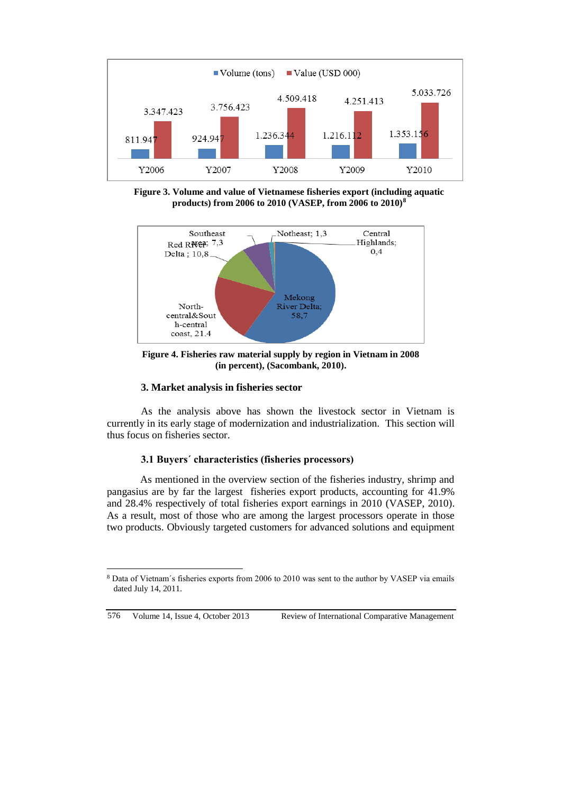

**Figure 3. Volume and value of Vietnamese fisheries export (including aquatic products) from 2006 to 2010 (VASEP, from 2006 to 2010)<sup>8</sup>**



**Figure 4. Fisheries raw material supply by region in Vietnam in 2008 (in percent), (Sacombank, 2010).**

# **3. Market analysis in fisheries sector**

As the analysis above has shown the livestock sector in Vietnam is currently in its early stage of modernization and industrialization. This section will thus focus on fisheries sector.

### **3.1 Buyers´ characteristics (fisheries processors)**

As mentioned in the overview section of the fisheries industry, shrimp and pangasius are by far the largest fisheries export products, accounting for 41.9% and 28.4% respectively of total fisheries export earnings in 2010 (VASEP, 2010). As a result, most of those who are among the largest processors operate in those two products. Obviously targeted customers for advanced solutions and equipment

```
576 Volume 14, Issue 4, October 2013 Review of International Comparative Management
```
<sup>8</sup> Data of Vietnam´s fisheries exports from 2006 to 2010 was sent to the author by VASEP via emails dated July 14, 2011.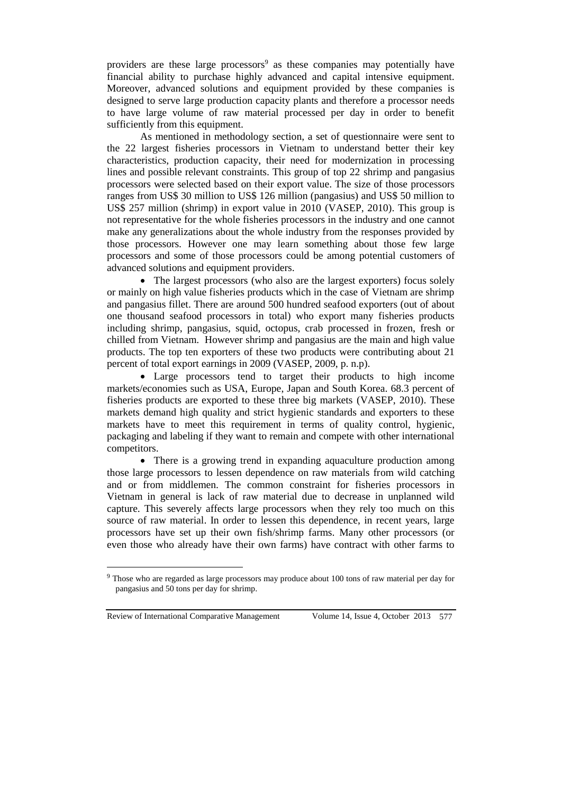providers are these large processors<sup>9</sup> as these companies may potentially have financial ability to purchase highly advanced and capital intensive equipment. Moreover, advanced solutions and equipment provided by these companies is designed to serve large production capacity plants and therefore a processor needs to have large volume of raw material processed per day in order to benefit sufficiently from this equipment.

As mentioned in methodology section, a set of questionnaire were sent to the 22 largest fisheries processors in Vietnam to understand better their key characteristics, production capacity, their need for modernization in processing lines and possible relevant constraints. This group of top 22 shrimp and pangasius processors were selected based on their export value. The size of those processors ranges from US\$ 30 million to US\$ 126 million (pangasius) and US\$ 50 million to US\$ 257 million (shrimp) in export value in 2010 (VASEP, 2010). This group is not representative for the whole fisheries processors in the industry and one cannot make any generalizations about the whole industry from the responses provided by those processors. However one may learn something about those few large processors and some of those processors could be among potential customers of advanced solutions and equipment providers.

• The largest processors (who also are the largest exporters) focus solely or mainly on high value fisheries products which in the case of Vietnam are shrimp and pangasius fillet. There are around 500 hundred seafood exporters (out of about one thousand seafood processors in total) who export many fisheries products including shrimp, pangasius, squid, octopus, crab processed in frozen, fresh or chilled from Vietnam. However shrimp and pangasius are the main and high value products. The top ten exporters of these two products were contributing about 21 percent of total export earnings in 2009 (VASEP, 2009, p. n.p).

 Large processors tend to target their products to high income markets/economies such as USA, Europe, Japan and South Korea. 68.3 percent of fisheries products are exported to these three big markets (VASEP, 2010). These markets demand high quality and strict hygienic standards and exporters to these markets have to meet this requirement in terms of quality control, hygienic, packaging and labeling if they want to remain and compete with other international competitors.

• There is a growing trend in expanding aquaculture production among those large processors to lessen dependence on raw materials from wild catching and or from middlemen. The common constraint for fisheries processors in Vietnam in general is lack of raw material due to decrease in unplanned wild capture. This severely affects large processors when they rely too much on this source of raw material. In order to lessen this dependence, in recent years, large processors have set up their own fish/shrimp farms. Many other processors (or even those who already have their own farms) have contract with other farms to

Review of International Comparative Management Volume 14, Issue 4, October 2013 577

<sup>&</sup>lt;sup>9</sup> Those who are regarded as large processors may produce about 100 tons of raw material per day for pangasius and 50 tons per day for shrimp.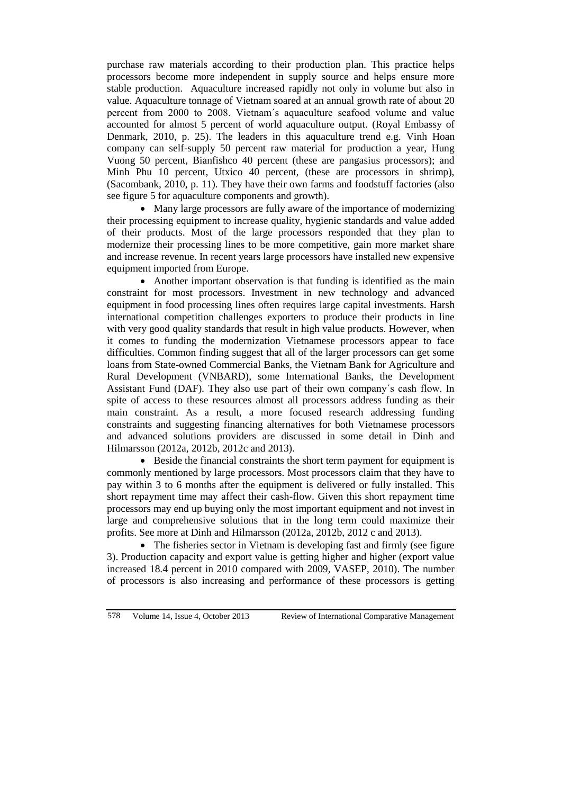purchase raw materials according to their production plan. This practice helps processors become more independent in supply source and helps ensure more stable production. Aquaculture increased rapidly not only in volume but also in value. Aquaculture tonnage of Vietnam soared at an annual growth rate of about 20 percent from 2000 to 2008. Vietnam´s aquaculture seafood volume and value accounted for almost 5 percent of world aquaculture output. (Royal Embassy of Denmark, 2010, p. 25). The leaders in this aquaculture trend e.g. Vinh Hoan company can self-supply 50 percent raw material for production a year, Hung Vuong 50 percent, Bianfishco 40 percent (these are pangasius processors); and Minh Phu 10 percent, Utxico 40 percent, (these are processors in shrimp), (Sacombank, 2010, p. 11). They have their own farms and foodstuff factories (also see figure 5 for aquaculture components and growth).

 Many large processors are fully aware of the importance of modernizing their processing equipment to increase quality, hygienic standards and value added of their products. Most of the large processors responded that they plan to modernize their processing lines to be more competitive, gain more market share and increase revenue. In recent years large processors have installed new expensive equipment imported from Europe.

• Another important observation is that funding is identified as the main constraint for most processors. Investment in new technology and advanced equipment in food processing lines often requires large capital investments. Harsh international competition challenges exporters to produce their products in line with very good quality standards that result in high value products. However, when it comes to funding the modernization Vietnamese processors appear to face difficulties. Common finding suggest that all of the larger processors can get some loans from State-owned Commercial Banks, the Vietnam Bank for Agriculture and Rural Development (VNBARD), some International Banks, the Development Assistant Fund (DAF). They also use part of their own company´s cash flow. In spite of access to these resources almost all processors address funding as their main constraint. As a result, a more focused research addressing funding constraints and suggesting financing alternatives for both Vietnamese processors and advanced solutions providers are discussed in some detail in Dinh and Hilmarsson (2012a, 2012b, 2012c and 2013).

 Beside the financial constraints the short term payment for equipment is commonly mentioned by large processors. Most processors claim that they have to pay within 3 to 6 months after the equipment is delivered or fully installed. This short repayment time may affect their cash-flow. Given this short repayment time processors may end up buying only the most important equipment and not invest in large and comprehensive solutions that in the long term could maximize their profits. See more at Dinh and Hilmarsson (2012a, 2012b, 2012 c and 2013).

• The fisheries sector in Vietnam is developing fast and firmly (see figure 3). Production capacity and export value is getting higher and higher (export value increased 18.4 percent in 2010 compared with 2009, VASEP, 2010). The number of processors is also increasing and performance of these processors is getting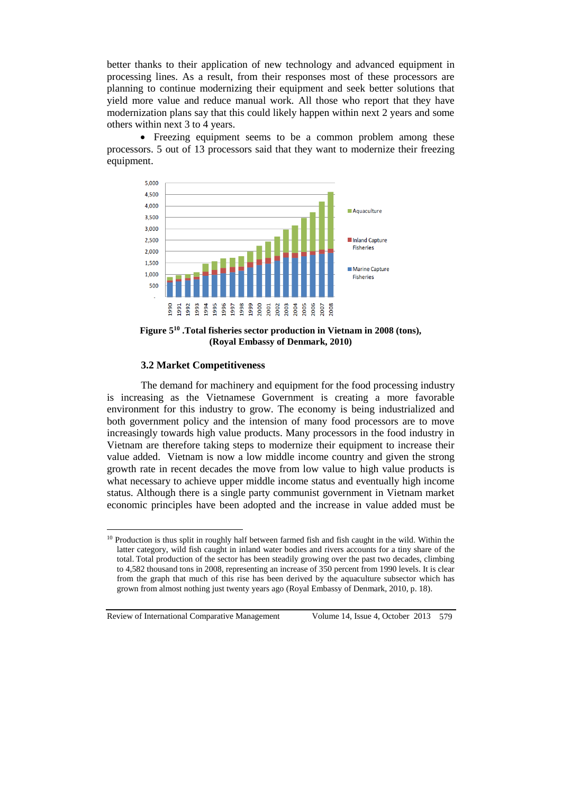better thanks to their application of new technology and advanced equipment in processing lines. As a result, from their responses most of these processors are planning to continue modernizing their equipment and seek better solutions that yield more value and reduce manual work. All those who report that they have modernization plans say that this could likely happen within next 2 years and some others within next 3 to 4 years.

• Freezing equipment seems to be a common problem among these processors. 5 out of 13 processors said that they want to modernize their freezing equipment.



**Figure 5<sup>10</sup> .Total fisheries sector production in Vietnam in 2008 (tons), (Royal Embassy of Denmark, 2010)**

### **3.2 Market Competitiveness**

The demand for machinery and equipment for the food processing industry is increasing as the Vietnamese Government is creating a more favorable environment for this industry to grow. The economy is being industrialized and both government policy and the intension of many food processors are to move increasingly towards high value products. Many processors in the food industry in Vietnam are therefore taking steps to modernize their equipment to increase their value added. Vietnam is now a low middle income country and given the strong growth rate in recent decades the move from low value to high value products is what necessary to achieve upper middle income status and eventually high income status. Although there is a single party communist government in Vietnam market economic principles have been adopted and the increase in value added must be

<sup>&</sup>lt;sup>10</sup> Production is thus split in roughly half between farmed fish and fish caught in the wild. Within the latter category, wild fish caught in inland water bodies and rivers accounts for a tiny share of the total. Total production of the sector has been steadily growing over the past two decades, climbing to 4,582 thousand tons in 2008, representing an increase of 350 percent from 1990 levels. It is clear from the graph that much of this rise has been derived by the aquaculture subsector which has grown from almost nothing just twenty years ago (Royal Embassy of Denmark, 2010, p. 18).

Review of International Comparative Management Volume 14, Issue 4, October 2013 579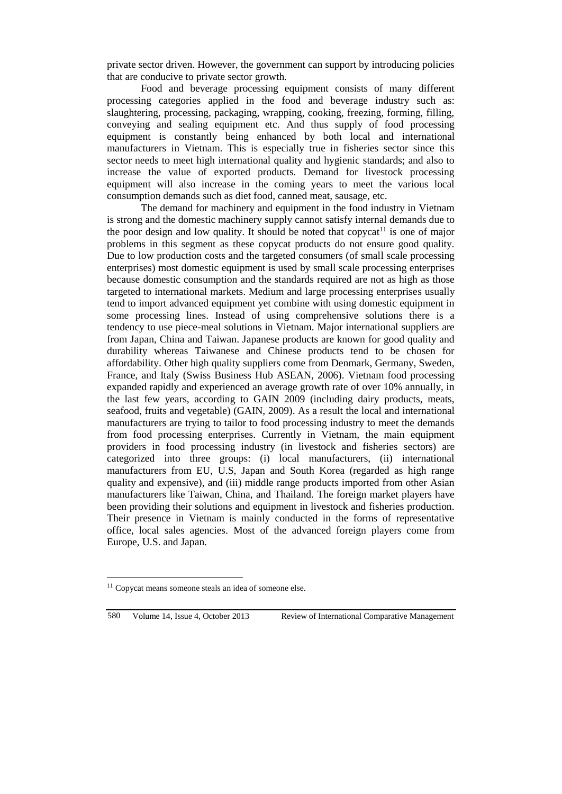private sector driven. However, the government can support by introducing policies that are conducive to private sector growth.

Food and beverage processing equipment consists of many different processing categories applied in the food and beverage industry such as: slaughtering, processing, packaging, wrapping, cooking, freezing, forming, filling, conveying and sealing equipment etc. And thus supply of food processing equipment is constantly being enhanced by both local and international manufacturers in Vietnam. This is especially true in fisheries sector since this sector needs to meet high international quality and hygienic standards; and also to increase the value of exported products. Demand for livestock processing equipment will also increase in the coming years to meet the various local consumption demands such as diet food, canned meat, sausage, etc.

The demand for machinery and equipment in the food industry in Vietnam is strong and the domestic machinery supply cannot satisfy internal demands due to the poor design and low quality. It should be noted that copycat<sup>11</sup> is one of major problems in this segment as these copycat products do not ensure good quality. Due to low production costs and the targeted consumers (of small scale processing enterprises) most domestic equipment is used by small scale processing enterprises because domestic consumption and the standards required are not as high as those targeted to international markets. Medium and large processing enterprises usually tend to import advanced equipment yet combine with using domestic equipment in some processing lines. Instead of using comprehensive solutions there is a tendency to use piece-meal solutions in Vietnam. Major international suppliers are from Japan, China and Taiwan. Japanese products are known for good quality and durability whereas Taiwanese and Chinese products tend to be chosen for affordability. Other high quality suppliers come from Denmark, Germany, Sweden, France, and Italy (Swiss Business Hub ASEAN, 2006). Vietnam food processing expanded rapidly and experienced an average growth rate of over 10% annually, in the last few years, according to GAIN 2009 (including dairy products, meats, seafood, fruits and vegetable) (GAIN, 2009). As a result the local and international manufacturers are trying to tailor to food processing industry to meet the demands from food processing enterprises. Currently in Vietnam, the main equipment providers in food processing industry (in livestock and fisheries sectors) are categorized into three groups: (i) local manufacturers, (ii) international manufacturers from EU, U.S, Japan and South Korea (regarded as high range quality and expensive), and (iii) middle range products imported from other Asian manufacturers like Taiwan, China, and Thailand. The foreign market players have been providing their solutions and equipment in livestock and fisheries production. Their presence in Vietnam is mainly conducted in the forms of representative office, local sales agencies. Most of the advanced foreign players come from Europe, U.S. and Japan.

 $\overline{a}$ 

<sup>&</sup>lt;sup>11</sup> Copycat means someone steals an idea of someone else.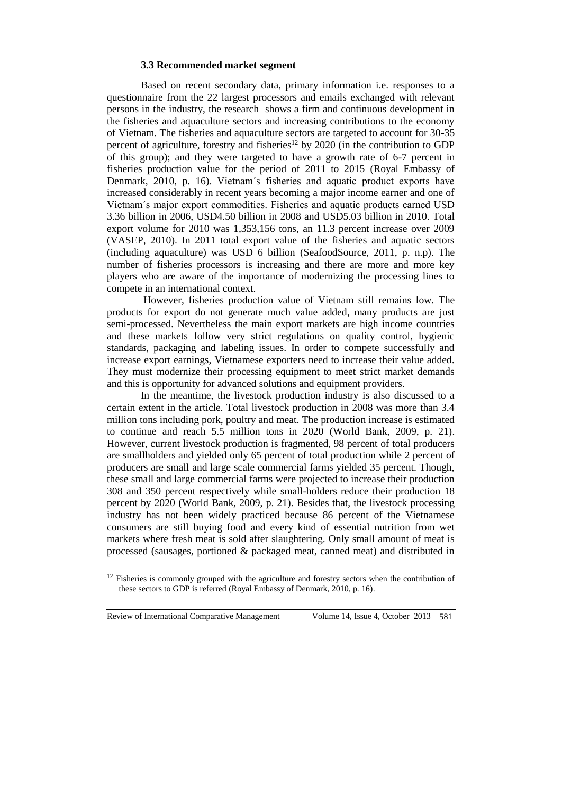#### **3.3 Recommended market segment**

Based on recent secondary data, primary information i.e. responses to a questionnaire from the 22 largest processors and emails exchanged with relevant persons in the industry, the research shows a firm and continuous development in the fisheries and aquaculture sectors and increasing contributions to the economy of Vietnam. The fisheries and aquaculture sectors are targeted to account for 30-35 percent of agriculture, forestry and fisheries<sup>12</sup> by 2020 (in the contribution to GDP of this group); and they were targeted to have a growth rate of 6-7 percent in fisheries production value for the period of 2011 to 2015 (Royal Embassy of Denmark, 2010, p. 16). Vietnam´s fisheries and aquatic product exports have increased considerably in recent years becoming a major income earner and one of Vietnam´s major export commodities. Fisheries and aquatic products earned USD 3.36 billion in 2006, USD4.50 billion in 2008 and USD5.03 billion in 2010. Total export volume for 2010 was 1,353,156 tons, an 11.3 percent increase over 2009 (VASEP, 2010). In 2011 total export value of the fisheries and aquatic sectors (including aquaculture) was USD 6 billion (SeafoodSource, 2011, p. n.p). The number of fisheries processors is increasing and there are more and more key players who are aware of the importance of modernizing the processing lines to compete in an international context.

However, fisheries production value of Vietnam still remains low. The products for export do not generate much value added, many products are just semi-processed. Nevertheless the main export markets are high income countries and these markets follow very strict regulations on quality control, hygienic standards, packaging and labeling issues. In order to compete successfully and increase export earnings, Vietnamese exporters need to increase their value added. They must modernize their processing equipment to meet strict market demands and this is opportunity for advanced solutions and equipment providers.

In the meantime, the livestock production industry is also discussed to a certain extent in the article. Total livestock production in 2008 was more than 3.4 million tons including pork, poultry and meat. The production increase is estimated to continue and reach 5.5 million tons in 2020 (World Bank, 2009, p. 21). However, current livestock production is fragmented, 98 percent of total producers are smallholders and yielded only 65 percent of total production while 2 percent of producers are small and large scale commercial farms yielded 35 percent. Though, these small and large commercial farms were projected to increase their production 308 and 350 percent respectively while small-holders reduce their production 18 percent by 2020 (World Bank, 2009, p. 21). Besides that, the livestock processing industry has not been widely practiced because 86 percent of the Vietnamese consumers are still buying food and every kind of essential nutrition from wet markets where fresh meat is sold after slaughtering. Only small amount of meat is processed (sausages, portioned & packaged meat, canned meat) and distributed in

Review of International Comparative Management Volume 14, Issue 4, October 2013 581

 $12$  Fisheries is commonly grouped with the agriculture and forestry sectors when the contribution of these sectors to GDP is referred (Royal Embassy of Denmark, 2010, p. 16).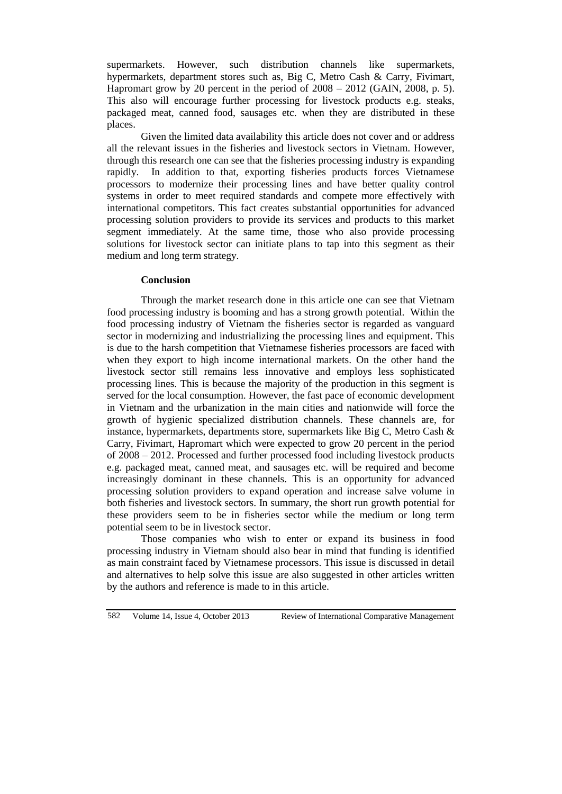supermarkets. However, such distribution channels like supermarkets, hypermarkets, department stores such as, Big C, Metro Cash & Carry, Fivimart, Hapromart grow by 20 percent in the period of 2008 – 2012 (GAIN, 2008, p. 5). This also will encourage further processing for livestock products e.g. steaks, packaged meat, canned food, sausages etc. when they are distributed in these places.

Given the limited data availability this article does not cover and or address all the relevant issues in the fisheries and livestock sectors in Vietnam. However, through this research one can see that the fisheries processing industry is expanding rapidly. In addition to that, exporting fisheries products forces Vietnamese processors to modernize their processing lines and have better quality control systems in order to meet required standards and compete more effectively with international competitors. This fact creates substantial opportunities for advanced processing solution providers to provide its services and products to this market segment immediately. At the same time, those who also provide processing solutions for livestock sector can initiate plans to tap into this segment as their medium and long term strategy.

### **Conclusion**

Through the market research done in this article one can see that Vietnam food processing industry is booming and has a strong growth potential. Within the food processing industry of Vietnam the fisheries sector is regarded as vanguard sector in modernizing and industrializing the processing lines and equipment. This is due to the harsh competition that Vietnamese fisheries processors are faced with when they export to high income international markets. On the other hand the livestock sector still remains less innovative and employs less sophisticated processing lines. This is because the majority of the production in this segment is served for the local consumption. However, the fast pace of economic development in Vietnam and the urbanization in the main cities and nationwide will force the growth of hygienic specialized distribution channels. These channels are, for instance, hypermarkets, departments store, supermarkets like Big C, Metro Cash  $\&$ Carry, Fivimart, Hapromart which were expected to grow 20 percent in the period of 2008 – 2012. Processed and further processed food including livestock products e.g. packaged meat, canned meat, and sausages etc. will be required and become increasingly dominant in these channels. This is an opportunity for advanced processing solution providers to expand operation and increase salve volume in both fisheries and livestock sectors. In summary, the short run growth potential for these providers seem to be in fisheries sector while the medium or long term potential seem to be in livestock sector.

Those companies who wish to enter or expand its business in food processing industry in Vietnam should also bear in mind that funding is identified as main constraint faced by Vietnamese processors. This issue is discussed in detail and alternatives to help solve this issue are also suggested in other articles written by the authors and reference is made to in this article.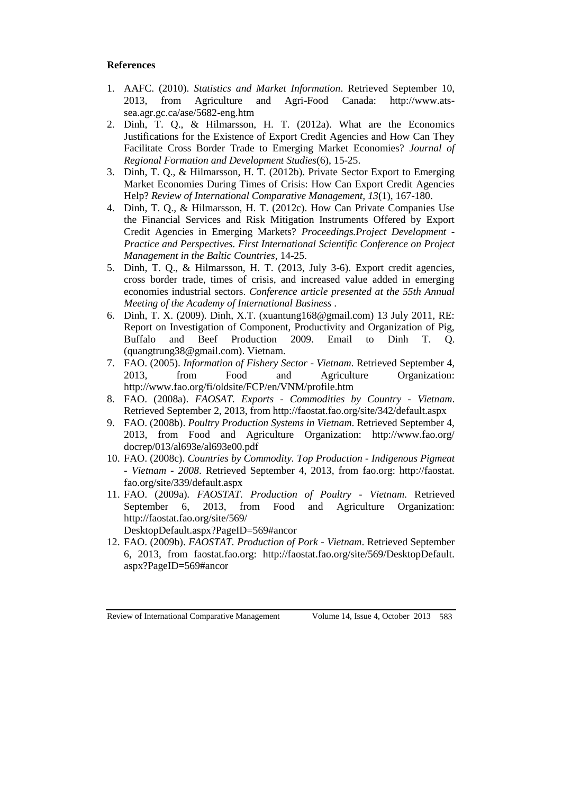# **References**

- 1. AAFC. (2010). *Statistics and Market Information*. Retrieved September 10, 2013, from Agriculture and Agri-Food Canada: http://www.atssea.agr.gc.ca/ase/5682-eng.htm
- 2. Dinh, T. Q., & Hilmarsson, H. T. (2012a). What are the Economics Justifications for the Existence of Export Credit Agencies and How Can They Facilitate Cross Border Trade to Emerging Market Economies? *Journal of Regional Formation and Development Studies*(6), 15-25.
- 3. Dinh, T. Q., & Hilmarsson, H. T. (2012b). Private Sector Export to Emerging Market Economies During Times of Crisis: How Can Export Credit Agencies Help? *Review of International Comparative Management, 13*(1), 167-180.
- 4. Dinh, T. Q., & Hilmarsson, H. T. (2012c). How Can Private Companies Use the Financial Services and Risk Mitigation Instruments Offered by Export Credit Agencies in Emerging Markets? *Proceedings.Project Development - Practice and Perspectives. First International Scientific Conference on Project Management in the Baltic Countries*, 14-25.
- 5. Dinh, T. Q., & Hilmarsson, H. T. (2013, July 3-6). Export credit agencies, cross border trade, times of crisis, and increased value added in emerging economies industrial sectors. *Conference article presented at the 55th Annual Meeting of the Academy of International Business* .
- 6. Dinh, T. X. (2009). Dinh, X.T. (xuantung168@gmail.com) 13 July 2011, RE: Report on Investigation of Component, Productivity and Organization of Pig, Buffalo and Beef Production 2009. Email to Dinh T. O. Buffalo and Beef Production 2009. Email to Dinh T. Q. (quangtrung38@gmail.com). Vietnam.
- 7. FAO. (2005). *Information of Fishery Sector - Vietnam*. Retrieved September 4, 2013, from Food and Agriculture Organization: http://www.fao.org/fi/oldsite/FCP/en/VNM/profile.htm
- 8. FAO. (2008a). *FAOSAT. Exports - Commodities by Country - Vietnam*. Retrieved September 2, 2013, from http://faostat.fao.org/site/342/default.aspx
- 9. FAO. (2008b). *Poultry Production Systems in Vietnam*. Retrieved September 4, 2013, from Food and Agriculture Organization: http://www.fao.org/ docrep/013/al693e/al693e00.pdf
- 10. FAO. (2008c). *Countries by Commodity. Top Production - Indigenous Pigmeat - Vietnam - 2008*. Retrieved September 4, 2013, from fao.org: http://faostat. fao.org/site/339/default.aspx
- 11. FAO. (2009a). *FAOSTAT. Production of Poultry - Vietnam*. Retrieved September 6, 2013, from Food and Agriculture Organization: http://faostat.fao.org/site/569/

DesktopDefault.aspx?PageID=569#ancor

12. FAO. (2009b). *FAOSTAT. Production of Pork - Vietnam*. Retrieved September 6, 2013, from faostat.fao.org: http://faostat.fao.org/site/569/DesktopDefault. aspx?PageID=569#ancor

Review of International Comparative Management Volume 14, Issue 4, October 2013 583